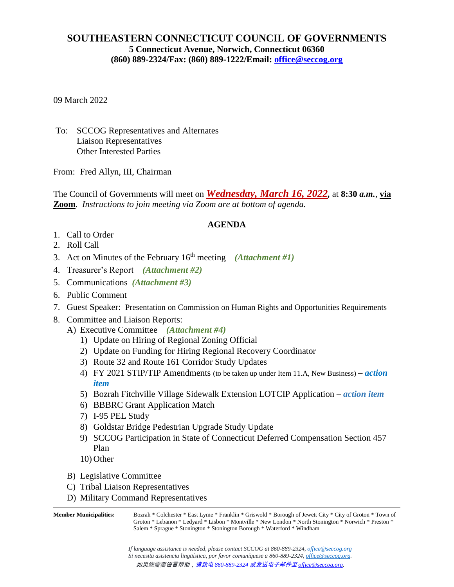## **SOUTHEASTERN CONNECTICUT COUNCIL OF GOVERNMENTS 5 Connecticut Avenue, Norwich, Connecticut 06360 (860) 889-2324/Fax: (860) 889-1222/Email: [office@seccog.org](mailto:seccog@snet.net)**

09 March 2022

To: SCCOG Representatives and Alternates Liaison Representatives Other Interested Parties

From: Fred Allyn, III, Chairman

The Council of Governments will meet on *Wednesday, March 16, 2022,* at **8:30** *a.m.*, **via Zoom**. *Instructions to join meeting via Zoom are at bottom of agenda.*

## **AGENDA**

- 1. Call to Order
- 2. Roll Call
- 3. Act on Minutes of the February 16th meeting *(Attachment #1)*
- 4. Treasurer's Report *(Attachment #2)*
- 5. Communications *(Attachment #3)*
- 6. Public Comment
- 7. Guest Speaker: Presentation on Commission on Human Rights and Opportunities Requirements
- 8. Committee and Liaison Reports:
	- A) Executive Committee *(Attachment #4)*
		- 1) Update on Hiring of Regional Zoning Official
		- 2) Update on Funding for Hiring Regional Recovery Coordinator
		- 3) Route 32 and Route 161 Corridor Study Updates
		- 4) FY 2021 STIP/TIP Amendments (to be taken up under Item 11.A, New Business) *action item*
		- 5) Bozrah Fitchville Village Sidewalk Extension LOTCIP Application *action item*
		- 6) BBBRC Grant Application Match
		- 7) I-95 PEL Study
		- 8) Goldstar Bridge Pedestrian Upgrade Study Update
		- 9) SCCOG Participation in State of Connecticut Deferred Compensation Section 457 Plan
		- 10) Other
		- B) Legislative Committee
		- C) Tribal Liaison Representatives
		- D) Military Command Representatives

**Member Municipalities:** Bozrah \* Colchester \* East Lyme \* Franklin \* Griswold \* Borough of Jewett City \* City of Groton \* Town of Groton \* Lebanon \* Ledyard \* Lisbon \* Montville \* New London \* North Stonington \* Norwich \* Preston \* Salem \* Sprague \* Stonington \* Stonington Borough \* Waterford \* Windham